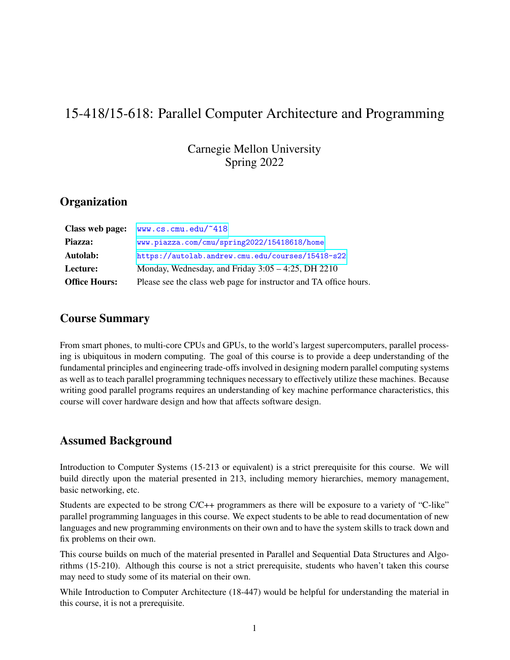# 15-418/15-618: Parallel Computer Architecture and Programming

Carnegie Mellon University Spring 2022

### **Organization**

| Class web page:      | www.cs.cmu.edu/~418                                               |
|----------------------|-------------------------------------------------------------------|
| Piazza:              | www.piazza.com/cmu/spring2022/15418618/home                       |
| Autolab:             | https://autolab.andrew.cmu.edu/courses/15418-s22                  |
| Lecture:             | Monday, Wednesday, and Friday $3:05 - 4:25$ , DH 2210             |
| <b>Office Hours:</b> | Please see the class web page for instructor and TA office hours. |

### Course Summary

From smart phones, to multi-core CPUs and GPUs, to the world's largest supercomputers, parallel processing is ubiquitous in modern computing. The goal of this course is to provide a deep understanding of the fundamental principles and engineering trade-offs involved in designing modern parallel computing systems as well as to teach parallel programming techniques necessary to effectively utilize these machines. Because writing good parallel programs requires an understanding of key machine performance characteristics, this course will cover hardware design and how that affects software design.

### Assumed Background

Introduction to Computer Systems (15-213 or equivalent) is a strict prerequisite for this course. We will build directly upon the material presented in 213, including memory hierarchies, memory management, basic networking, etc.

Students are expected to be strong C/C++ programmers as there will be exposure to a variety of "C-like" parallel programming languages in this course. We expect students to be able to read documentation of new languages and new programming environments on their own and to have the system skills to track down and fix problems on their own.

This course builds on much of the material presented in Parallel and Sequential Data Structures and Algorithms (15-210). Although this course is not a strict prerequisite, students who haven't taken this course may need to study some of its material on their own.

While Introduction to Computer Architecture (18-447) would be helpful for understanding the material in this course, it is not a prerequisite.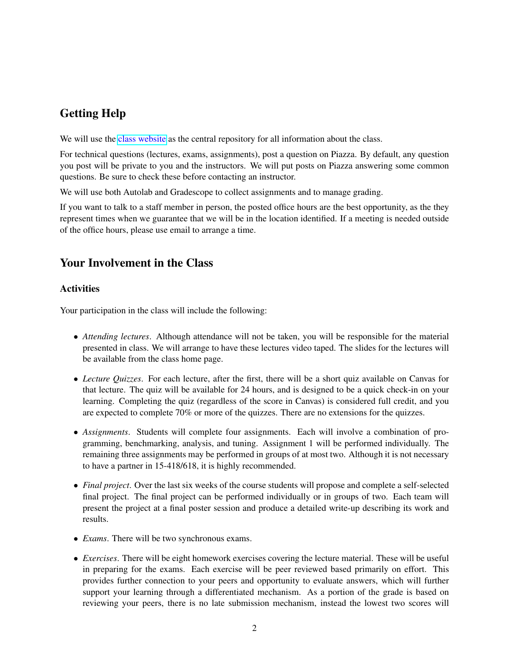## Getting Help

We will use the [class website](http://www.cs.cmu.edu/afs/cs.cmu.edu/academic/class/15418-s22/www) as the central repository for all information about the class.

For technical questions (lectures, exams, assignments), post a question on Piazza. By default, any question you post will be private to you and the instructors. We will put posts on Piazza answering some common questions. Be sure to check these before contacting an instructor.

We will use both Autolab and Gradescope to collect assignments and to manage grading.

If you want to talk to a staff member in person, the posted office hours are the best opportunity, as the they represent times when we guarantee that we will be in the location identified. If a meeting is needed outside of the office hours, please use email to arrange a time.

### Your Involvement in the Class

#### **Activities**

Your participation in the class will include the following:

- *Attending lectures*. Although attendance will not be taken, you will be responsible for the material presented in class. We will arrange to have these lectures video taped. The slides for the lectures will be available from the class home page.
- *Lecture Quizzes*. For each lecture, after the first, there will be a short quiz available on Canvas for that lecture. The quiz will be available for 24 hours, and is designed to be a quick check-in on your learning. Completing the quiz (regardless of the score in Canvas) is considered full credit, and you are expected to complete 70% or more of the quizzes. There are no extensions for the quizzes.
- *Assignments*. Students will complete four assignments. Each will involve a combination of programming, benchmarking, analysis, and tuning. Assignment 1 will be performed individually. The remaining three assignments may be performed in groups of at most two. Although it is not necessary to have a partner in 15-418/618, it is highly recommended.
- *Final project*. Over the last six weeks of the course students will propose and complete a self-selected final project. The final project can be performed individually or in groups of two. Each team will present the project at a final poster session and produce a detailed write-up describing its work and results.
- *Exams*. There will be two synchronous exams.
- *Exercises*. There will be eight homework exercises covering the lecture material. These will be useful in preparing for the exams. Each exercise will be peer reviewed based primarily on effort. This provides further connection to your peers and opportunity to evaluate answers, which will further support your learning through a differentiated mechanism. As a portion of the grade is based on reviewing your peers, there is no late submission mechanism, instead the lowest two scores will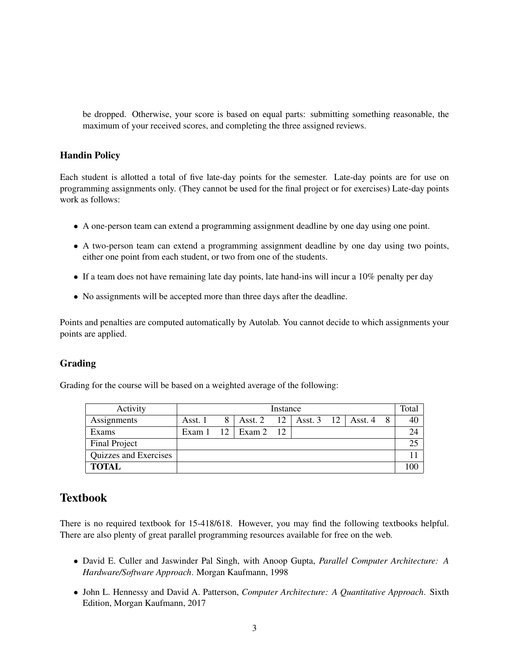be dropped. Otherwise, your score is based on equal parts: submitting something reasonable, the maximum of your received scores, and completing the three assigned reviews.

#### Handin Policy

Each student is allotted a total of five late-day points for the semester. Late-day points are for use on programming assignments only. (They cannot be used for the final project or for exercises) Late-day points work as follows:

- A one-person team can extend a programming assignment deadline by one day using one point.
- A two-person team can extend a programming assignment deadline by one day using two points, either one point from each student, or two from one of the students.
- If a team does not have remaining late day points, late hand-ins will incur a 10% penalty per day
- No assignments will be accepted more than three days after the deadline.

Points and penalties are computed automatically by Autolab. You cannot decide to which assignments your points are applied.

#### Grading

Grading for the course will be based on a weighted average of the following:

| Activity              | Instance |    |         |    |                               |  |  |   | Total |
|-----------------------|----------|----|---------|----|-------------------------------|--|--|---|-------|
| Assignments           | Asst. 1  |    | Asst. 2 |    | $12$   Asst. 3 $12$   Asst. 4 |  |  | 8 | 40    |
| Exams                 | Exam 1   | 12 | Exam 2  | 12 |                               |  |  |   | 24    |
| Final Project         |          |    |         |    |                               |  |  |   | 25    |
| Quizzes and Exercises |          |    |         |    |                               |  |  |   |       |
| <b>TOTAL</b>          |          |    |         |    |                               |  |  |   | 100   |

### Textbook

There is no required textbook for 15-418/618. However, you may find the following textbooks helpful. There are also plenty of great parallel programming resources available for free on the web.

- David E. Culler and Jaswinder Pal Singh, with Anoop Gupta, *Parallel Computer Architecture: A Hardware/Software Approach*. Morgan Kaufmann, 1998
- John L. Hennessy and David A. Patterson, *Computer Architecture: A Quantitative Approach*. Sixth Edition, Morgan Kaufmann, 2017